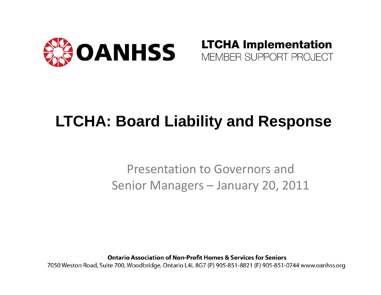

#### **LTCHA Implementation** MEMBER SUPPORT PROJECT

#### **LTCHA: Board Liability and Response**

#### Presentation to Governors and Senior Managers – January 20, 2011

**Ontario Association of Non-Profit Homes & Services for Seniors** 

7050 Weston Road, Suite 700, Woodbridge, Ontario L4L 8G7 (P) 905-851-8821 (F) 905-851-0744 www.oanhss.org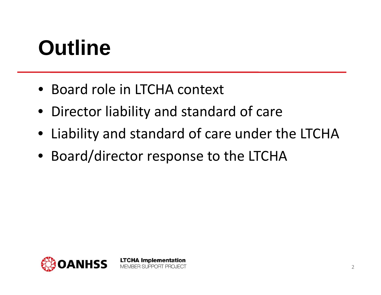### **Outline**

- Board role in LTCHA context
- Director liability and standard of care
- Liability and standard of care under the LTCHA
- Board/director response to the LTCHA

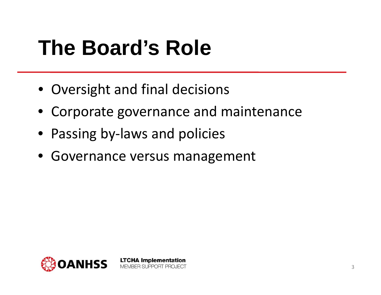### **The Board's Role**

- Oversight and final decisions
- Corporate governance and maintenance
- Passing by-laws and policies
- Governance versus management

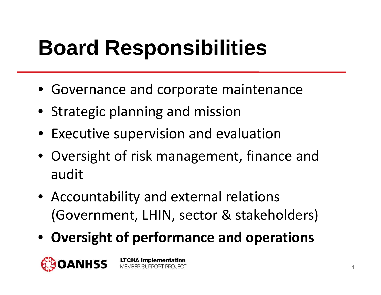## **Board Responsibilities**

- Governance and corporate maintenance
- Strategic planning and mission
- Executive supervision and evaluation
- Oversight of risk management, finance and audit
- Accountability and external relations (Government, LHIN, sector & stakeholders)
- **Oversight of performance and operations**

**LTCHA Implementation** 

MEMBER SUPPORT PROJECT

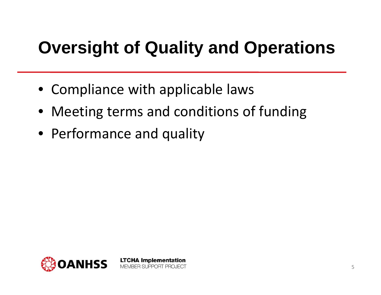#### **Oversight of Quality and Operations**

• Compliance with applicable laws

- Meeting terms and conditions of funding
- Performance and quality

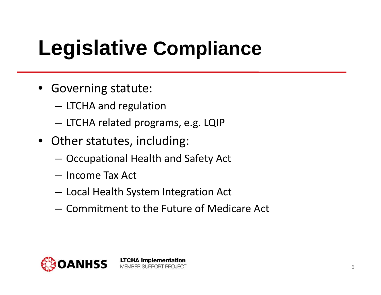## **Legislative Compliance**

- Governing statute:
	- LTCHA and regulation
	- LTCHA related programs, e.g. LQIP
- Other statutes, including:
	- $-$  Occupational Health and Safety Act
	- Income Tax Act
	- –Local Health System Integration Act
	- Commitment to the Future of Medicare Act

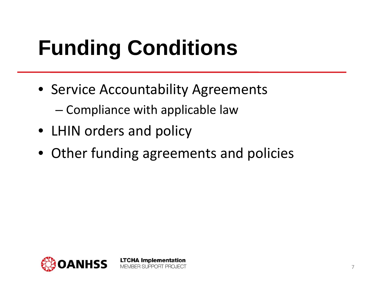# **Funding Conditions**

• Service Accountability Agreements –Compliance with applicable law

- LHIN orders and policy
- Other funding agreements and policies

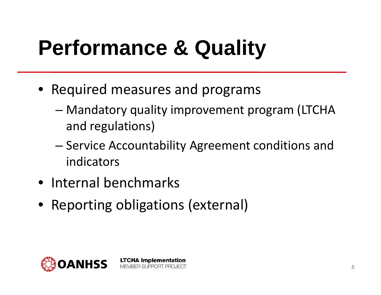# **Performance & Quality**

- Required measures and programs
	- – Mandatory quality improvement program (LTCHA and regulations)
	- –— Service Accountability Agreement conditions and indicators
- Internal benchmarks
- Reporting obligations (external)

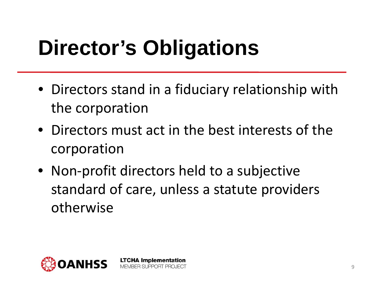# **Director's Obligations**

- Directors stand in a fiduciary relationship with the corporation
- Directors must act in the best interests of the corporation
- Non ‐profit directors held to a subjective standard of care, unless a statute providers otherwise

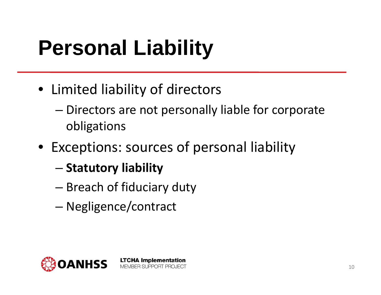# **Personal Liability**

- Limited liability of directors
	- – Directors are not personally liable for corporate obligations
- Exceptions: sources of personal liability

- – $-$  Statutory liability
- – $-$  Breach of fiduciary duty
- Negligence/contract

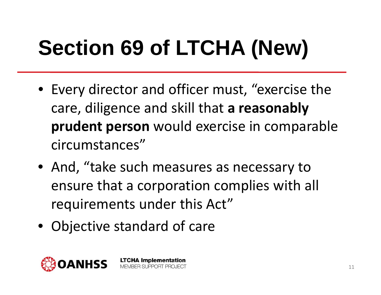# **Section 69 of LTCHA (New)**

- Every director and officer must, "exercise the care, diligence and skill that **a reasonably prudent person** would exercise in comparable circumstances"
- And, "take such measures as necessary to ensure that a corporation complies with all requirements under this Act"
- Objective standard of care

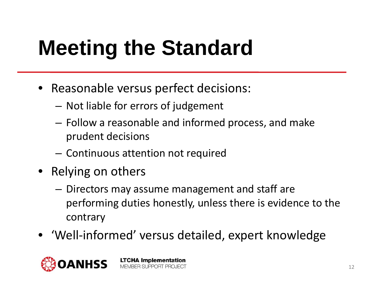# **Meeting the Standard**

- Reasonable versus perfect decisions:
	- – $-$  Not liable for errors of judgement
	- Follow a reasonable and informed process, and make prudent decisions
	- $-$  Continuous attention not required

- Relying on others
	- Directors may assume management and staff are performing duties honestly, unless there is evidence to the contrary
- 'Well ‐informed' versus detailed, expert knowledge

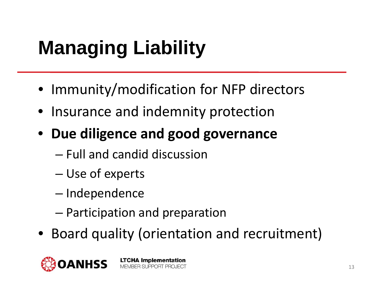#### **Managing Liability**

- Immunity/modification for NFP directors
- Insurance and indemnity protection
- **Due diligence and good governance**
	- Full and candid discussion
	- –Use of experts
	- Independence
	- –Participation and preparation
- Board quality (orientation and recruitment)

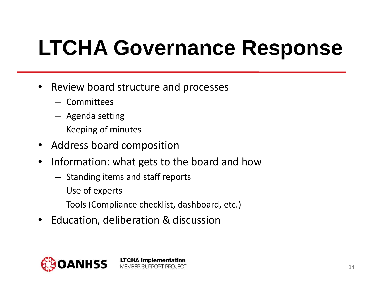## **LTCHA Governance Response**

- •• Review board structure and processes
	- Committees
	- Agenda setting
	- Keeping of minutes
- Address board composition
- • Information: what gets to the board and how
	- Standing items and staff reports
	- Use of experts
	- Tools (Compliance checklist, dashboard, etc.)
- Education, deliberation & discussion

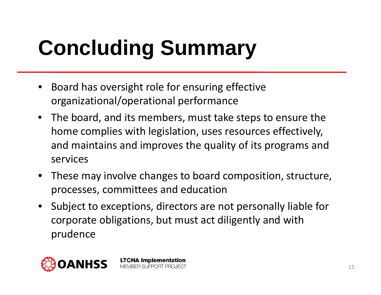# **Concluding Summary**

•• Board has oversight role for ensuring effective organizational/operational performance

- The board, and its members, must take steps to ensure the home complies with legislation, uses resources effectively, and maintains and improves the quality of its programs and services
- These may involve changes to board composition, structure, processes, committees and education
- Subject to exceptions, directors are not personally liable for corporate obligations, but must act diligently and with prudence

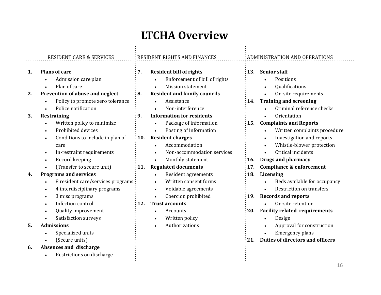#### **LTCHA Overview**

|          | <b>RESIDENT CARE &amp; SERVICES</b>                                                                                            | RESIDENT RIGHTS AND FINANCES                                                                                                                           | ADMINISTRATION AND OPERATIONS                                                                                                     |
|----------|--------------------------------------------------------------------------------------------------------------------------------|--------------------------------------------------------------------------------------------------------------------------------------------------------|-----------------------------------------------------------------------------------------------------------------------------------|
| 1.       | <b>Plans of care</b><br>Admission care plan<br>Plan of care<br>$\bullet$                                                       | :7.<br><b>Resident bill of rights</b><br>Enforcement of bill of rights<br><b>Mission statement</b><br>$\bullet$                                        | <b>Senior staff</b><br><b>13.</b><br>Positions<br>Qualifications                                                                  |
| 2.       | Prevention of abuse and neglect<br>Policy to promote zero tolerance<br>$\bullet$<br>Police notification                        | <b>Resident and family councils</b><br>: 8.<br>Assistance<br>$\bullet$<br>Non-interference<br>$\bullet$                                                | On-site requirements<br><b>Training and screening</b><br>14.<br>Criminal reference checks                                         |
| 3.       | Restraining<br>Written policy to minimize<br>Prohibited devices                                                                | <b>Information for residents</b><br>: 9.<br>Package of information<br>$\bullet$<br>Posting of information<br>$\bullet$                                 | Orientation<br><b>Complaints and Reports</b><br>15.<br>Written complaints procedure                                               |
|          | Conditions to include in plan of<br>$\bullet$<br>care<br>In-restraint requirements<br>$\bullet$<br>Record keeping<br>$\bullet$ | $: 10.$ Resident charges<br>Accommodation<br>Non-accommodation services<br>$\bullet$<br>Monthly statement<br>$\bullet$                                 | Investigation and reports<br>Whistle-blower protection<br>Critical incidents<br><b>Drugs and pharmacy</b><br>16.                  |
| 4.       | (Transfer to secure unit)<br><b>Programs and services</b><br>8 resident care/services programs<br>4 interdisciplinary programs | <b>Regulated documents</b><br><b>11.</b><br>Resident agreements<br>$\bullet$<br>Written consent forms<br>$\bullet$<br>Voidable agreements<br>$\bullet$ | <b>Compliance &amp; enforcement</b><br>17.<br>18.<br>Licensing<br>Beds available for occupancy<br><b>Restriction on transfers</b> |
|          | 3 misc programs<br>Infection control<br>Quality improvement<br>$\bullet$<br>Satisfaction surveys                               | Coercion prohibited<br>$\bullet$<br><b>Trust accounts</b><br><b>12.</b><br>Accounts<br>$\bullet$<br>Written policy<br>$\bullet$                        | <b>Records and reports</b><br>19.<br>On-site retention<br><b>Facility related requirements</b><br>20.<br>Design                   |
| 5.<br>6. | <b>Admissions</b><br>Specialized units<br>(Secure units)<br>Absences and discharge                                             | Authorizations<br>$\bullet$                                                                                                                            | Approval for construction<br><b>Emergency plans</b><br><b>Duties of directors and officers</b><br>21.                             |
|          | Restrictions on discharge                                                                                                      |                                                                                                                                                        |                                                                                                                                   |